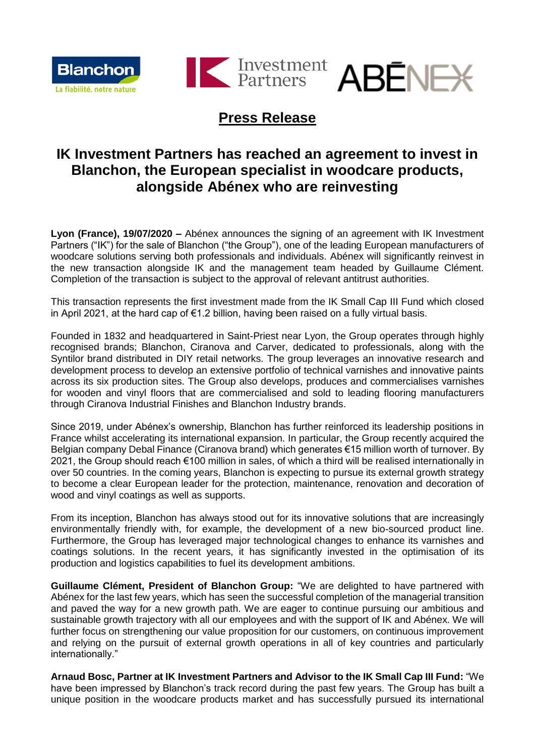





# **Press Release**

# **IK Investment Partners has reached an agreement to invest in Blanchon, the European specialist in woodcare products, alongside Abénex who are reinvesting**

**Lyon (France), 19/07/2020 –** Abénex announces the signing of an agreement with IK Investment Partners ("IK") for the sale of Blanchon ("the Group"), one of the leading European manufacturers of woodcare solutions serving both professionals and individuals. Abénex will significantly reinvest in the new transaction alongside IK and the management team headed by Guillaume Clément. Completion of the transaction is subject to the approval of relevant antitrust authorities.

This transaction represents the first investment made from the IK Small Cap III Fund which closed in April 2021, at the hard cap of €1.2 billion, having been raised on a fully virtual basis.

Founded in 1832 and headquartered in Saint-Priest near Lyon, the Group operates through highly recognised brands; Blanchon, Ciranova and Carver, dedicated to professionals, along with the Syntilor brand distributed in DIY retail networks. The group leverages an innovative research and development process to develop an extensive portfolio of technical varnishes and innovative paints across its six production sites. The Group also develops, produces and commercialises varnishes for wooden and vinyl floors that are commercialised and sold to leading flooring manufacturers through Ciranova Industrial Finishes and Blanchon Industry brands.

Since 2019, under Abénex's ownership, Blanchon has further reinforced its leadership positions in France whilst accelerating its international expansion. In particular, the Group recently acquired the Belgian company Debal Finance (Ciranova brand) which generates €15 million worth of turnover. By 2021, the Group should reach €100 million in sales, of which a third will be realised internationally in over 50 countries. In the coming years, Blanchon is expecting to pursue its external growth strategy to become a clear European leader for the protection, maintenance, renovation and decoration of wood and vinyl coatings as well as supports.

From its inception, Blanchon has always stood out for its innovative solutions that are increasingly environmentally friendly with, for example, the development of a new bio-sourced product line. Furthermore, the Group has leveraged major technological changes to enhance its varnishes and coatings solutions. In the recent years, it has significantly invested in the optimisation of its production and logistics capabilities to fuel its development ambitions.

**Guillaume Clément, President of Blanchon Group:** "We are delighted to have partnered with Abénex for the last few years, which has seen the successful completion of the managerial transition and paved the way for a new growth path. We are eager to continue pursuing our ambitious and sustainable growth trajectory with all our employees and with the support of IK and Abénex. We will further focus on strengthening our value proposition for our customers, on continuous improvement and relying on the pursuit of external growth operations in all of key countries and particularly internationally."

**Arnaud Bosc, Partner at IK Investment Partners and Advisor to the IK Small Cap III Fund:** "We have been impressed by Blanchon's track record during the past few years. The Group has built a unique position in the woodcare products market and has successfully pursued its international